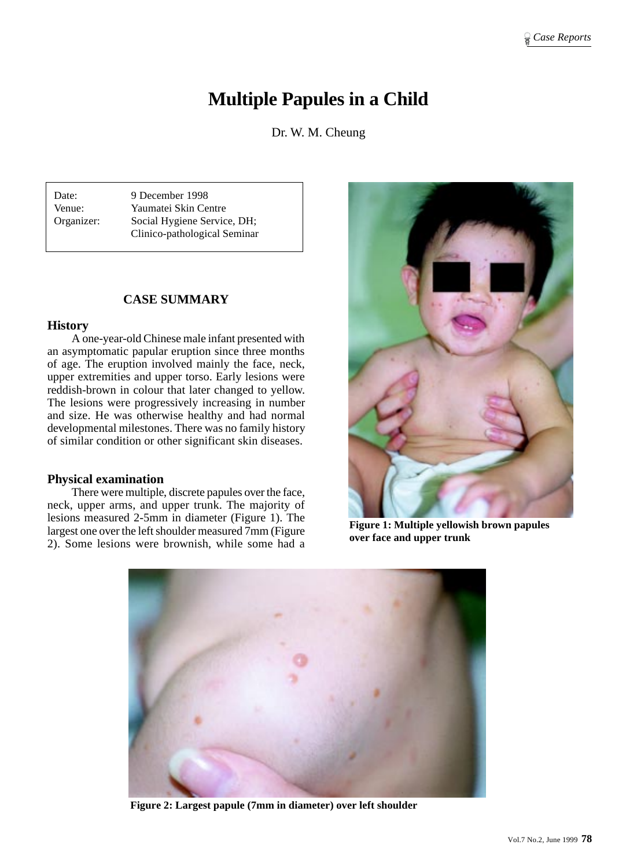# **Multiple Papules in a Child**

Dr. W. M. Cheung

Date: 9 December 1998 Venue: Yaumatei Skin Centre Organizer: Social Hygiene Service, DH; Clinico-pathological Seminar

# **CASE SUMMARY**

#### **History**

A one-year-old Chinese male infant presented with an asymptomatic papular eruption since three months of age. The eruption involved mainly the face, neck, upper extremities and upper torso. Early lesions were reddish-brown in colour that later changed to yellow. The lesions were progressively increasing in number and size. He was otherwise healthy and had normal developmental milestones. There was no family history of similar condition or other significant skin diseases.

## **Physical examination**

There were multiple, discrete papules over the face, neck, upper arms, and upper trunk. The majority of lesions measured 2-5mm in diameter (Figure 1). The largest one over the left shoulder measured 7mm (Figure 2). Some lesions were brownish, while some had a



**Figure 1: Multiple yellowish brown papules over face and upper trunk**



**Figure 2: Largest papule (7mm in diameter) over left shoulder**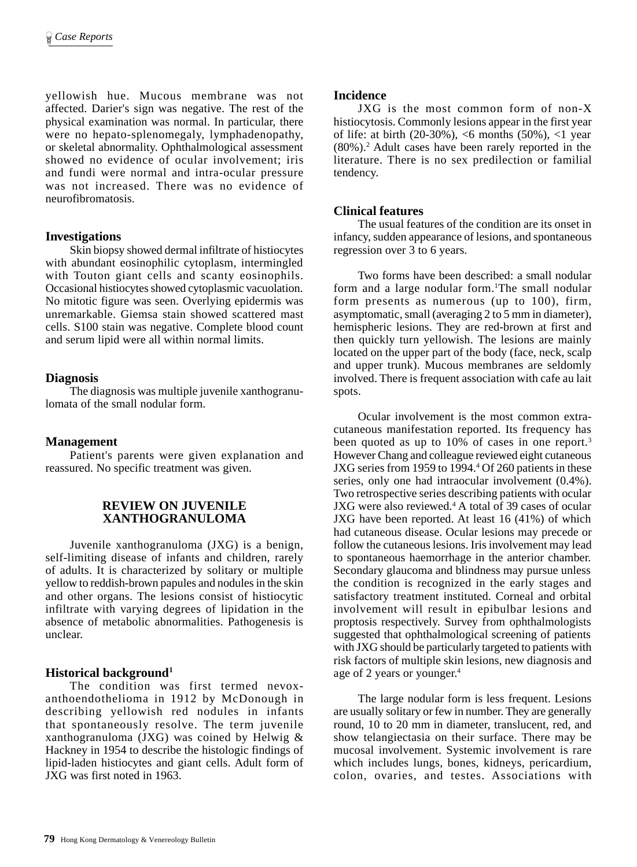yellowish hue. Mucous membrane was not affected. Darier's sign was negative. The rest of the physical examination was normal. In particular, there were no hepato-splenomegaly, lymphadenopathy, or skeletal abnormality. Ophthalmological assessment showed no evidence of ocular involvement; iris and fundi were normal and intra-ocular pressure was not increased. There was no evidence of neurofibromatosis.

## **Investigations**

Skin biopsy showed dermal infiltrate of histiocytes with abundant eosinophilic cytoplasm, intermingled with Touton giant cells and scanty eosinophils. Occasional histiocytes showed cytoplasmic vacuolation. No mitotic figure was seen. Overlying epidermis was unremarkable. Giemsa stain showed scattered mast cells. S100 stain was negative. Complete blood count and serum lipid were all within normal limits.

# **Diagnosis**

The diagnosis was multiple juvenile xanthogranulomata of the small nodular form.

# **Management**

Patient's parents were given explanation and reassured. No specific treatment was given.

## **REVIEW ON JUVENILE XANTHOGRANULOMA**

Juvenile xanthogranuloma (JXG) is a benign, self-limiting disease of infants and children, rarely of adults. It is characterized by solitary or multiple yellow to reddish-brown papules and nodules in the skin and other organs. The lesions consist of histiocytic infiltrate with varying degrees of lipidation in the absence of metabolic abnormalities. Pathogenesis is unclear.

# **Historical background1**

The condition was first termed nevoxanthoendothelioma in 1912 by McDonough in describing yellowish red nodules in infants that spontaneously resolve. The term juvenile xanthogranuloma (JXG) was coined by Helwig & Hackney in 1954 to describe the histologic findings of lipid-laden histiocytes and giant cells. Adult form of JXG was first noted in 1963.

## **Incidence**

JXG is the most common form of non-X histiocytosis. Commonly lesions appear in the first year of life: at birth (20-30%), <6 months (50%), <1 year (80%).2 Adult cases have been rarely reported in the literature. There is no sex predilection or familial tendency.

## **Clinical features**

The usual features of the condition are its onset in infancy, sudden appearance of lesions, and spontaneous regression over 3 to 6 years.

Two forms have been described: a small nodular form and a large nodular form.<sup>1</sup>The small nodular form presents as numerous (up to 100), firm, asymptomatic, small (averaging 2 to 5 mm in diameter), hemispheric lesions. They are red-brown at first and then quickly turn yellowish. The lesions are mainly located on the upper part of the body (face, neck, scalp and upper trunk). Mucous membranes are seldomly involved. There is frequent association with cafe au lait spots.

Ocular involvement is the most common extracutaneous manifestation reported. Its frequency has been quoted as up to 10% of cases in one report.<sup>3</sup> However Chang and colleague reviewed eight cutaneous JXG series from 1959 to 1994.<sup>4</sup> Of 260 patients in these series, only one had intraocular involvement (0.4%). Two retrospective series describing patients with ocular JXG were also reviewed.<sup>4</sup> A total of 39 cases of ocular JXG have been reported. At least 16 (41%) of which had cutaneous disease. Ocular lesions may precede or follow the cutaneous lesions. Iris involvement may lead to spontaneous haemorrhage in the anterior chamber. Secondary glaucoma and blindness may pursue unless the condition is recognized in the early stages and satisfactory treatment instituted. Corneal and orbital involvement will result in epibulbar lesions and proptosis respectively. Survey from ophthalmologists suggested that ophthalmological screening of patients with JXG should be particularly targeted to patients with risk factors of multiple skin lesions, new diagnosis and age of 2 years or younger.4

The large nodular form is less frequent. Lesions are usually solitary or few in number. They are generally round, 10 to 20 mm in diameter, translucent, red, and show telangiectasia on their surface. There may be mucosal involvement. Systemic involvement is rare which includes lungs, bones, kidneys, pericardium, colon, ovaries, and testes. Associations with